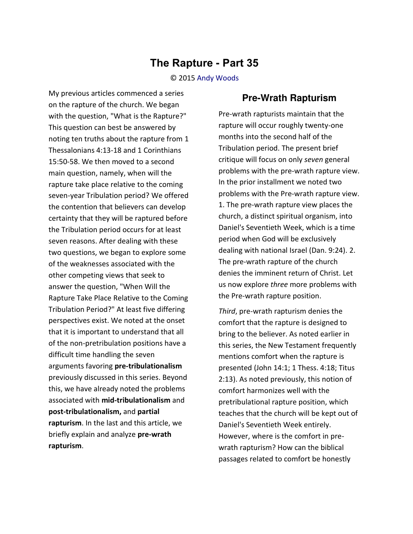## **The Rapture - Part 35**

© 2015 [Andy Woods](http://www.spiritandtruth.org/id/aw.htm)

My previous articles commenced a series on the rapture of the church. We began with the question, "What is the Rapture?" This question can best be answered by noting ten truths about the rapture from 1 Thessalonians 4:13-18 and 1 Corinthians 15:50-58. We then moved to a second main question, namely, when will the rapture take place relative to the coming seven-year Tribulation period? We offered the contention that believers can develop certainty that they will be raptured before the Tribulation period occurs for at least seven reasons. After dealing with these two questions, we began to explore some of the weaknesses associated with the other competing views that seek to answer the question, "When Will the Rapture Take Place Relative to the Coming Tribulation Period?" At least five differing perspectives exist. We noted at the onset that it is important to understand that all of the non-pretribulation positions have a difficult time handling the seven arguments favoring **pre-tribulationalism** previously discussed in this series. Beyond this, we have already noted the problems associated with **mid-tribulationalism** and **post-tribulationalism,** and **partial rapturism**. In the last and this article, we briefly explain and analyze **pre-wrath rapturism**.

## **Pre-Wrath Rapturism**

Pre-wrath rapturists maintain that the rapture will occur roughly twenty-one months into the second half of the Tribulation period. The present brief critique will focus on only *seven* general problems with the pre-wrath rapture view. In the prior installment we noted two problems with the Pre-wrath rapture view. 1. The pre-wrath rapture view places the church, a distinct spiritual organism, into Daniel's Seventieth Week, which is a time period when God will be exclusively dealing with national Israel (Dan. 9:24). 2. The pre-wrath rapture of the church denies the imminent return of Christ. Let us now explore *three* more problems with the Pre-wrath rapture position.

*Third*, pre-wrath rapturism denies the comfort that the rapture is designed to bring to the believer. As noted earlier in this series, the New Testament frequently mentions comfort when the rapture is presented (John 14:1; 1 Thess. 4:18; Titus 2:13). As noted previously, this notion of comfort harmonizes well with the pretribulational rapture position, which teaches that the church will be kept out of Daniel's Seventieth Week entirely. However, where is the comfort in prewrath rapturism? How can the biblical passages related to comfort be honestly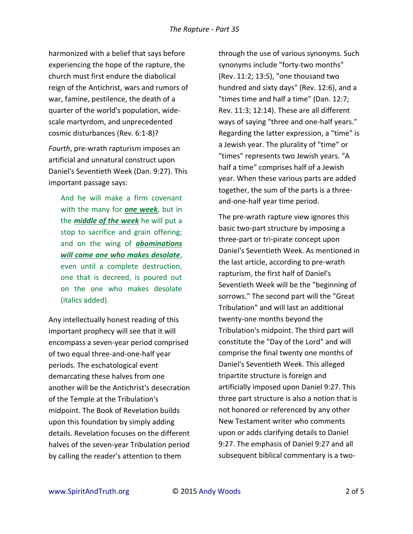harmonized with a belief that says before experiencing the hope of the rapture, the church must first endure the diabolical reign of the Antichrist, wars and rumors of war, famine, pestilence, the death of a quarter of the world's population, widescale martyrdom, and unprecedented cosmic disturbances (Rev. 6:1-8)?

*Fourth*, pre-wrath rapturism imposes an artificial and unnatural construct upon Daniel's Seventieth Week (Dan. 9:27). This important passage says:

And he will make a firm covenant with the many for *one week*, but in the *middle of the week* he will put a stop to sacrifice and grain offering; and on the wing of *abominations will come one who makes desolate*, even until a complete destruction, one that is decreed, is poured out on the one who makes desolate (italics added).

Any intellectually honest reading of this important prophecy will see that it will encompass a seven-year period comprised of two equal three-and-one-half year periods. The eschatological event demarcating these halves from one another will be the Antichrist's desecration of the Temple at the Tribulation's midpoint. The Book of Revelation builds upon this foundation by simply adding details. Revelation focuses on the different halves of the seven-year Tribulation period by calling the reader's attention to them

through the use of various synonyms. Such synonyms include "forty-two months" (Rev. 11:2; 13:5), "one thousand two hundred and sixty days" (Rev. 12:6), and a "times time and half a time" (Dan. 12:7; Rev. 11:3; 12:14). These are all different ways of saying "three and one-half years." Regarding the latter expression, a "time" is a Jewish year. The plurality of "time" or "times" represents two Jewish years. "A half a time" comprises half of a Jewish year. When these various parts are added together, the sum of the parts is a threeand-one-half year time period.

The pre-wrath rapture view ignores this basic two-part structure by imposing a three-part or tri-pirate concept upon Daniel's Seventieth Week. As mentioned in the last article, according to pre-wrath rapturism, the first half of Daniel's Seventieth Week will be the "beginning of sorrows." The second part will the "Great Tribulation" and will last an additional twenty-one months beyond the Tribulation's midpoint. The third part will constitute the "Day of the Lord" and will comprise the final twenty one months of Daniel's Seventieth Week. This alleged tripartite structure is foreign and artificially imposed upon Daniel 9:27. This three part structure is also a notion that is not honored or referenced by any other New Testament writer who comments upon or adds clarifying details to Daniel 9:27. The emphasis of Daniel 9:27 and all subsequent biblical commentary is a two-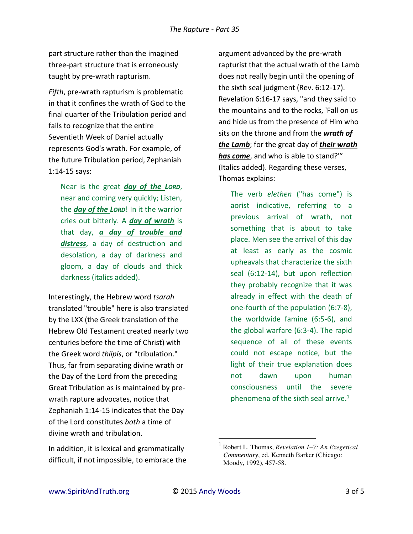part structure rather than the imagined three-part structure that is erroneously taught by pre-wrath rapturism.

*Fifth*, pre-wrath rapturism is problematic in that it confines the wrath of God to the final quarter of the Tribulation period and fails to recognize that the entire Seventieth Week of Daniel actually represents God's wrath. For example, of the future Tribulation period, Zephaniah 1:14-15 says:

Near is the great *day of the LORD*, near and coming very quickly; Listen, the *day of the LORD*! In it the warrior cries out bitterly. A *day of wrath* is that day, *a day of trouble and distress*, a day of destruction and desolation, a day of darkness and gloom, a day of clouds and thick darkness (italics added).

Interestingly, the Hebrew word *tsarah* translated "trouble" here is also translated by the LXX (the Greek translation of the Hebrew Old Testament created nearly two centuries before the time of Christ) with the Greek word *thlipis*, or "tribulation." Thus, far from separating divine wrath or the Day of the Lord from the preceding Great Tribulation as is maintained by prewrath rapture advocates, notice that Zephaniah 1:14-15 indicates that the Day of the Lord constitutes *both* a time of divine wrath and tribulation.

In addition, it is lexical and grammatically difficult, if not impossible, to embrace the

argument advanced by the pre-wrath rapturist that the actual wrath of the Lamb does not really begin until the opening of the sixth seal judgment (Rev. 6:12-17). Revelation 6:16-17 says, "and they said to the mountains and to the rocks, 'Fall on us and hide us from the presence of Him who sits on the throne and from the *wrath of the Lamb*; for the great day of *their wrath has come*, and who is able to stand?'" (Italics added). Regarding these verses, Thomas explains:

The verb *elethen* ("has come") is aorist indicative, referring to a previous arrival of wrath, not something that is about to take place. Men see the arrival of this day at least as early as the cosmic upheavals that characterize the sixth seal (6:12-14), but upon reflection they probably recognize that it was already in effect with the death of one-fourth of the population (6:7-8), the worldwide famine (6:5-6), and the global warfare (6:3-4). The rapid sequence of all of these events could not escape notice, but the light of their true explanation does not dawn upon human consciousness until the severe phenomena of the sixth seal arrive. $1$ 

 $\overline{a}$ 

<sup>1</sup> Robert L. Thomas, *Revelation 1–7: An Exegetical Commentary*, ed. Kenneth Barker (Chicago: Moody, 1992), 457-58.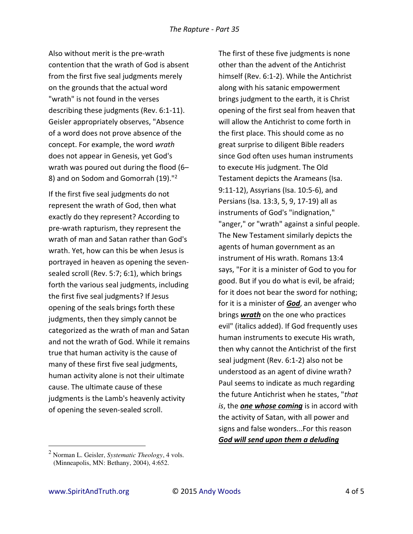Also without merit is the pre-wrath contention that the wrath of God is absent from the first five seal judgments merely on the grounds that the actual word "wrath" is not found in the verses describing these judgments (Rev. 6:1-11). Geisler appropriately observes, "Absence of a word does not prove absence of the concept. For example, the word *wrath* does not appear in Genesis, yet God's wrath was poured out during the flood (6– 8) and on Sodom and Gomorrah (19)."<sup>2</sup>

If the first five seal judgments do not represent the wrath of God, then what exactly do they represent? According to pre-wrath rapturism, they represent the wrath of man and Satan rather than God's wrath. Yet, how can this be when Jesus is portrayed in heaven as opening the sevensealed scroll (Rev. 5:7; 6:1), which brings forth the various seal judgments, including the first five seal judgments? If Jesus opening of the seals brings forth these judgments, then they simply cannot be categorized as the wrath of man and Satan and not the wrath of God. While it remains true that human activity is the cause of many of these first five seal judgments, human activity alone is not their ultimate cause. The ultimate cause of these judgments is the Lamb's heavenly activity of opening the seven-sealed scroll.

The first of these five judgments is none other than the advent of the Antichrist himself (Rev. 6:1-2). While the Antichrist along with his satanic empowerment brings judgment to the earth, it is Christ opening of the first seal from heaven that will allow the Antichrist to come forth in the first place. This should come as no great surprise to diligent Bible readers since God often uses human instruments to execute His judgment. The Old Testament depicts the Arameans (Isa. 9:11-12), Assyrians (Isa. 10:5-6), and Persians (Isa. 13:3, 5, 9, 17-19) all as instruments of God's "indignation," "anger," or "wrath" against a sinful people. The New Testament similarly depicts the agents of human government as an instrument of His wrath. Romans 13:4 says, "For it is a minister of God to you for good. But if you do what is evil, be afraid; for it does not bear the sword for nothing; for it is a minister of *God*, an avenger who brings *wrath* on the one who practices evil" (italics added). If God frequently uses human instruments to execute His wrath, then why cannot the Antichrist of the first seal judgment (Rev. 6:1-2) also not be understood as an agent of divine wrath? Paul seems to indicate as much regarding the future Antichrist when he states, "*that is*, the *one whose coming* is in accord with the activity of Satan, with all power and signs and false wonders...For this reason *God will send upon them a deluding* 

 $\overline{a}$ 

<sup>2</sup> Norman L. Geisler, *Systematic Theology*, 4 vols. (Minneapolis, MN: Bethany, 2004), 4:652.